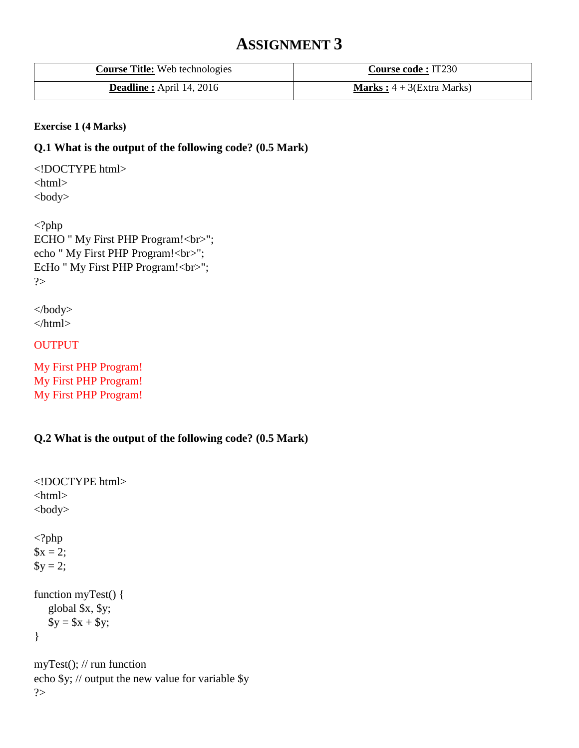# **ASSIGNMENT 3**

| <b>Course Title:</b> Web technologies | <b>Course code : IT230</b>           |
|---------------------------------------|--------------------------------------|
| <b>Deadline:</b> April 14, 2016       | <b>Marks</b> : $4 + 3$ (Extra Marks) |

#### **Exercise 1 (4 Marks)**

#### **Q.1 What is the output of the following code? (0.5 Mark)**

<!DOCTYPE html> <html> <body>

<?php ECHO " My First PHP Program!<br/>shown: echo " My First PHP Program!<br/><br/>br>"; EcHo " My First PHP Program!<br/>show"; ?>

</body> </html>

#### OUTPUT

My First PHP Program! My First PHP Program! My First PHP Program!

### **Q.2 What is the output of the following code? (0.5 Mark)**

```
<!DOCTYPE html>
<html>
<body>
<?php
x = 2;$y = 2;function myTest() {
    global $x, $y;
  $y = $x + $y$;}
```
myTest(); // run function echo \$y; // output the new value for variable \$y ?>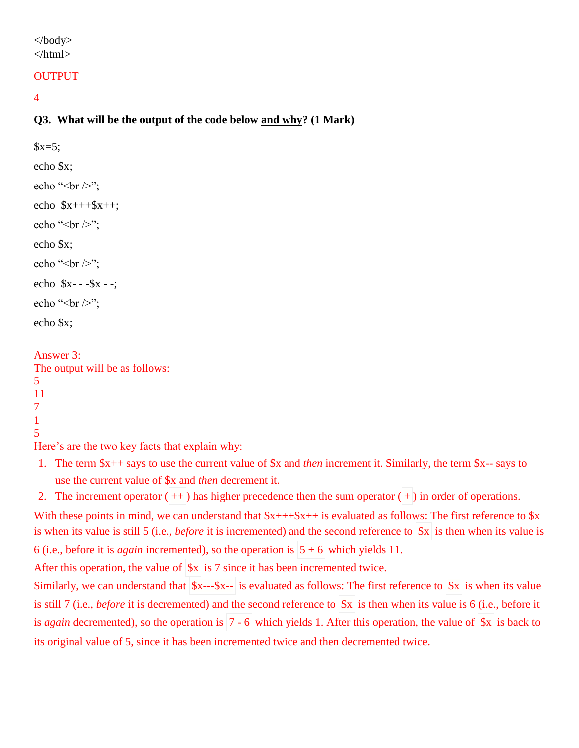#### </body> </html>

#### **OUTPUT**

4

## **Q3. What will be the output of the code below and why? (1 Mark)**

 $$x=5;$ echo \$x; echo " $\text{str}$  />"; echo  $$x++$x++;$ echo " $\text{str}$  />"; echo \$x; echo " $\text{str}$  />"; echo \$x- - -\$x - -; echo " $\text{str}$  />"; echo \$x;

Answer 3: The output will be as follows: 5 11 7 1 5

Here's are the two key facts that explain why:

1. The term \$x++ says to use the current value of \$x and *then* increment it. Similarly, the term \$x-- says to use the current value of \$x and *then* decrement it.

2. The increment operator  $(++)$  has higher precedence then the sum operator  $(+)$  in order of operations. With these points in mind, we can understand that  $x_{t++}x_{t++}$  is evaluated as follows: The first reference to  $x$ 

is when its value is still 5 (i.e., *before* it is incremented) and the second reference to  $\vert x \vert$  is then when its value is 6 (i.e., before it is *again* incremented), so the operation is  $5 + 6$  which yields 11.

After this operation, the value of  $\|\mathbf{x}\|$  is 7 since it has been incremented twice.

Similarly, we can understand that  $x$ -- $x$ - $\vert$  is evaluated as follows: The first reference to  $\vert x \vert$  is when its value is still 7 (i.e., *before* it is decremented) and the second reference to  $x$  is then when its value is 6 (i.e., before it is *again* decremented), so the operation is  $7 - 6$  which yields 1. After this operation, the value of  $\delta x$  is back to its original value of 5, since it has been incremented twice and then decremented twice.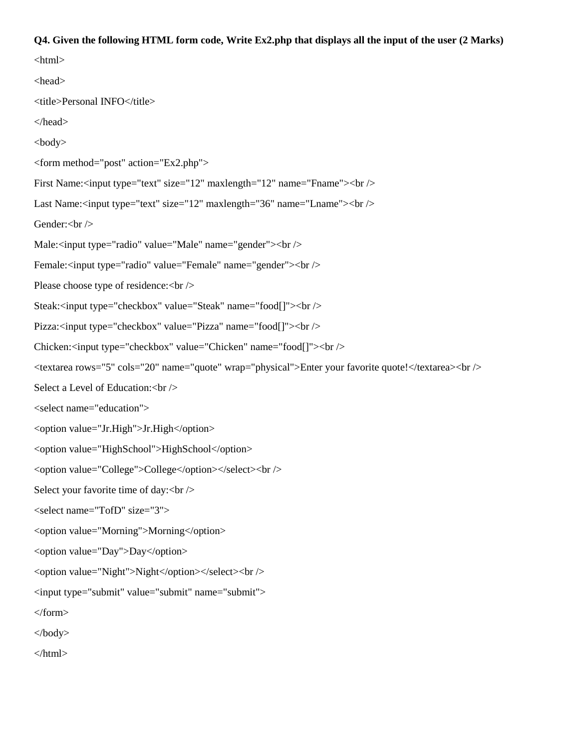#### **Q4. Given the following HTML form code, Write Ex2.php that displays all the input of the user (2 Marks)**

 $\langle$ html $>$ <head> <title>Personal INFO</title> </head> <body> <form method="post" action="Ex2.php"> First Name:<input type="text" size="12" maxlength="12" name="Fname"><br/>>br /> Last Name:<input type="text" size="12" maxlength="36" name="Lname"><br/>>br /> Gender:<br/>br /> Male:<input type="radio" value="Male" name="gender"><br/><br/>bo /> Female:<input type="radio" value="Female" name="gender"><br/>>br /> Please choose type of residence: < br /> Steak:<input type="checkbox" value="Steak" name="food[]"><br/><br/>b> Pizza:<input type="checkbox" value="Pizza" name="food[]"><br/><br/>bt /> Chicken:<input type="checkbox" value="Chicken" name="food[]"><br/><br/>bt /> <textarea rows="5" cols="20" name="quote" wrap="physical">Enter your favorite quote!</textarea><br /> Select a Level of Education: < br /> <select name="education"> <option value="Jr.High">Jr.High</option> <option value="HighSchool">HighSchool</option> <option value="College">College</option></select><br /> Select your favorite time of day: < br /> <select name="TofD" size="3"> <option value="Morning">Morning</option> <option value="Day">Day</option> <option value="Night">Night</option></select><br /> <input type="submit" value="submit" name="submit"> </form> </body> </html>